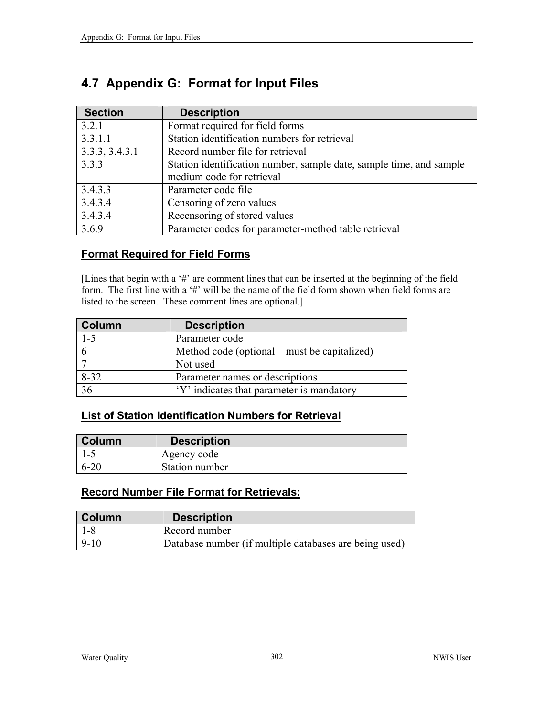| <b>Section</b> | <b>Description</b>                                                  |
|----------------|---------------------------------------------------------------------|
| 3.2.1          | Format required for field forms                                     |
| 3.3.1.1        | Station identification numbers for retrieval                        |
| 3.3.3, 3.4.3.1 | Record number file for retrieval                                    |
| 3.3.3          | Station identification number, sample date, sample time, and sample |
|                | medium code for retrieval                                           |
| 3.4.3.3        | Parameter code file                                                 |
| 3.4.3.4        | Censoring of zero values                                            |
| 3.4.3.4        | Recensoring of stored values                                        |
| 3.6.9          | Parameter codes for parameter-method table retrieval                |

# **4.7 Appendix G: Format for Input Files**

### **Format Required for Field Forms**

[Lines that begin with a '#' are comment lines that can be inserted at the beginning of the field form. The first line with a '#' will be the name of the field form shown when field forms are listed to the screen. These comment lines are optional.]

| Column   | <b>Description</b>                           |
|----------|----------------------------------------------|
| $1 - 5$  | Parameter code                               |
|          | Method code (optional – must be capitalized) |
|          | Not used                                     |
| $8 - 32$ | Parameter names or descriptions              |
| 36       | 'Y' indicates that parameter is mandatory    |

# **List of Station Identification Numbers for Retrieval**

| Column   | <b>Description</b> |
|----------|--------------------|
| L – 1    | Agency code        |
| $6 - 20$ | Station number     |

# **Record Number File Format for Retrievals:**

| <b>Column</b>    | <b>Description</b>                                     |
|------------------|--------------------------------------------------------|
| 1-8              | Record number                                          |
| $\frac{9-10}{2}$ | Database number (if multiple databases are being used) |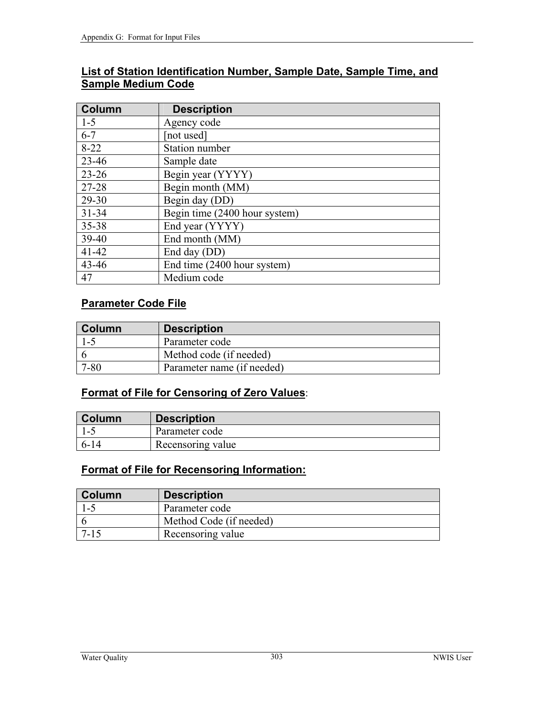|                           | List of Station Identification Number, Sample Date, Sample Time, and |
|---------------------------|----------------------------------------------------------------------|
| <b>Sample Medium Code</b> |                                                                      |

| <b>Column</b> | <b>Description</b>            |
|---------------|-------------------------------|
| $1 - 5$       | Agency code                   |
| $6 - 7$       | [not used]                    |
| $8-22$        | <b>Station number</b>         |
| $23 - 46$     | Sample date                   |
| $23 - 26$     | Begin year (YYYY)             |
| 27-28         | Begin month (MM)              |
| 29-30         | Begin day (DD)                |
| $31 - 34$     | Begin time (2400 hour system) |
| $35 - 38$     | End year (YYYY)               |
| 39-40         | End month (MM)                |
| $41 - 42$     | End day (DD)                  |
| $43 - 46$     | End time (2400 hour system)   |
| 47            | Medium code                   |

# **Parameter Code File**

| <b>Column</b> | <b>Description</b>         |
|---------------|----------------------------|
| 1-5           | Parameter code             |
|               | Method code (if needed)    |
| '-80          | Parameter name (if needed) |

## **Format of File for Censoring of Zero Values**:

| <b>Column</b>  | <b>Description</b> |
|----------------|--------------------|
| $\blacksquare$ | Parameter code     |
| $6 - 14$       | Recensoring value  |

## **Format of File for Recensoring Information:**

| <b>Column</b> | <b>Description</b>      |
|---------------|-------------------------|
| ارجا          | Parameter code          |
|               | Method Code (if needed) |
|               | Recensoring value       |